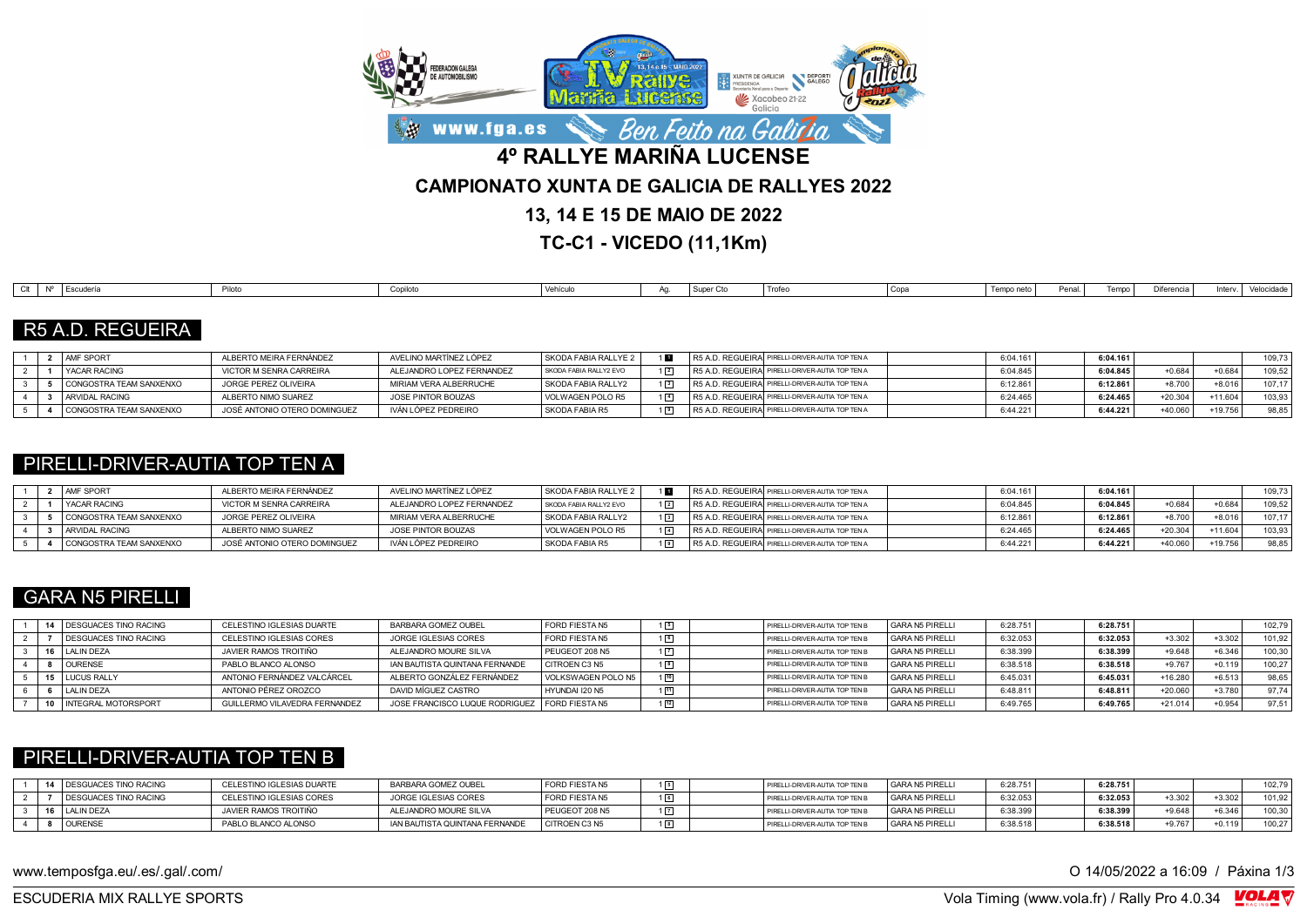

**TC-C1 - VICEDO (11,1Km)**

| Trofer<br>CIt<br>Diferencia<br>Copa<br>Vehículo<br>l Escuderí<br>Tempo<br>Tempo neto i<br>Penal<br>Copilot <sup>-</sup><br>Pilotc<br>Velocidade<br>Inten<br>I Super |
|---------------------------------------------------------------------------------------------------------------------------------------------------------------------|
|---------------------------------------------------------------------------------------------------------------------------------------------------------------------|

# R5 A.D. REGUEIRA

|  | <b>AMF SPORT</b>        | ILBERTO MEIRA FERNÁNDEZ      | AVELINO MARTÍNEZ LÓPEZ    | SKODA FABIA RALLYE 2   |                  | R5 A.D. REGUEIRAI PIRELLI-DRIVER-AUTIA TOP TEN A | 6:04.16  | 6:04.161 |           |           | $109.73 +$ |
|--|-------------------------|------------------------------|---------------------------|------------------------|------------------|--------------------------------------------------|----------|----------|-----------|-----------|------------|
|  | I YACAR RACING          | VICTOR M SENRA CARREIRA      | ALEJANDRO LOPEZ FERNANDEZ | SKODA FABIA RALLY2 EVO | $1\vert 2 \vert$ | R5 A.D. REGUEIRA PIRELLI-DRIVER-AUTIA TOP TEN A  | 6:04.845 | 6:04.845 | $+0.684$  | $+0.684$  | 109.52     |
|  | CONGOSTRA TEAM SANXENXO | JORGE PEREZ OLIVEIRA         | MIRIAM VERA ALBERRUCHE    | SKODA FABIA RALLY2     | $1\vert 3 \vert$ | R5 A.D. REGUEIRAI PIRELLI-DRIVER-AUTIA TOP TEN A | :12.86   | 6:12.861 | $+8.700$  | $+8.016$  | 107.17     |
|  | ARVIDAL RACING          | <b>ILBERTO NIMO SUAREZ</b>   | JOSE PINTOR BOUZAS        | VOLWAGEN POLO R5       | $1\vert 4 \vert$ | R5 A.D. REGUEIRAÍ PIRELLI-DRIVER-AUTIA TOP TEN A | 6:24.465 | 6:24.465 | $+20.304$ | $+11.604$ | 103.93     |
|  | CONGOSTRA TEAM SANXENXO | JOSÉ ANTONIO OTERO DOMINGUEZ | IVÁN LÓPEZ PEDREIRO       | SKODA FABIA R5         | $\cdot$ 9        | R5 A.D. REGUEIRA PIRELLI-DRIVER-AUTIA TOP TEN A  | 6:44.22  | 6:44.221 | $+40.060$ | +19.756   | 98,85      |

### PIRELLI-DRIVER-AUTIA TOP TEN A

|  | <b>AMF SPORT</b>        | ALBERTO MEIRA FERNÁNDEZ      | AVELINO MARTÍNEZ LÓPEZ    | SKODA FABIA RALLYE 2   |             | R5 A.D. REGUEIRA PIRELLI-DRIVER-AUTIA TOP TEN A  | 6:04.16  | 6:04.161 |           |           | 109.73 |
|--|-------------------------|------------------------------|---------------------------|------------------------|-------------|--------------------------------------------------|----------|----------|-----------|-----------|--------|
|  | <b>I YACAR RACING</b>   | VICTOR M SENRA CARREIRA      | ALEJANDRO LOPEZ FERNANDEZ | SKODA FABIA RALLY2 EVO | $1\sqrt{2}$ | R5 A.D. REGUEIRAI PIRELLI-DRIVER-AUTIA TOP TEN A | 6:04.845 | 6:04.845 | $+0.684$  | $+0.684$  | 109.52 |
|  | CONGOSTRA TEAM SANXENXO | JORGE PEREZ OLIVEIRA         | MIRIAM VERA ALBERRUCHE    | SKODA FABIA RALLY2     | $1\sqrt{3}$ | R5 A.D. REGUEIRA PIRELLI-DRIVER-AUTIA TOP TEN A  | 6:12.86  | 6:12.861 | $+8.700$  | $+8.016$  | 107.17 |
|  | ARVIDAL RACING          | ALBERTO NIMO SUAREZ          | JOSE PINTOR BOUZAS        | VOLWAGEN POLO R5       | $1\sqrt{4}$ | R5 A.D. REGUEIRA PIRELLI-DRIVER-AUTIA TOP TEN A  | 6:24.46  | 6:24.465 | $+20.304$ | $+11.604$ | 103.93 |
|  | CONGOSTRA TEAM SANXENXO | JOSÉ ANTONIO OTERO DOMINGUEZ | IVÁN LÓPEZ PEDREIRO       | l SKODA FABIA R5       | $1\sqrt{9}$ | R5 A.D. REGUEIRA PIRELLI-DRIVER-AUTIA TOP TEN A  | 6:44.221 | 6:44.221 | +40.060   | 19.756    | 98.85  |

# GARA N5 PIRELLI

|  | <b>I DESGUACES TINO RACING</b> | CELESTINO IGLESIAS DUARTE     | BARBARA GOMEZ OUBEL                             | <b>FORD FIESTA N5</b> |             | PIRELLI-DRIVER-AUTIA TOP TEN B | GARA N5 PIRELLI | 6:28.751 | 6:28.751 |           |          | 102,79 |
|--|--------------------------------|-------------------------------|-------------------------------------------------|-----------------------|-------------|--------------------------------|-----------------|----------|----------|-----------|----------|--------|
|  | <b>I DESGUACES TINO RACING</b> | CELESTINO IGLESIAS CORES      | JORGE IGLESIAS CORES                            | <b>FORD FIESTA N5</b> |             | PIRELLI-DRIVER-AUTIA TOP TEN B | GARA N5 PIRELLI | 6:32.053 | 6:32.053 | $+3.302$  | $+3.302$ | 101.92 |
|  | LALIN DEZA                     | JAVIER RAMOS TROITIÑO         | ALEJANDRO MOURE SILVA                           | PEUGEOT 208 N5        |             | PIRELLI-DRIVER-AUTIA TOP TEN B | GARA N5 PIRELLI | 6:38.399 | 6:38.399 | $+9.648$  | $+6.346$ | 100,30 |
|  | <b>OURENSE</b>                 | PABLO BLANCO ALONSO           | IAN BAUTISTA QUINTANA FERNANDE                  | CITROEN C3 N5         |             | PIRELLI-DRIVER-AUTIA TOP TEN B | GARA N5 PIRELLI | 6:38.518 | 6:38.518 | $+9.767$  | $+0.119$ | 100.27 |
|  | <b>LUCUS RALLY</b>             | ANTONIO FERNÁNDEZ VALCÁRCEL   | ALBERTO GONZÁLEZ FERNÁNDEZ                      | VOLKSWAGEN POLO N5    | 10          | PIRELLI-DRIVER-AUTIA TOP TEN B | GARA N5 PIRELLI | 6:45.031 | 6:45.031 | +16.280   | $+6.513$ | 98.65  |
|  | LALIN DEZA                     | ANTONIO PÉREZ OROZCO          | DAVID MÍGUEZ CASTRO                             | HYUNDAI I20 N5        | $\sqrt{11}$ | PIRELLI-DRIVER-AUTIA TOP TEN B | GARA N5 PIRELLI | 6:48.811 | 6:48.811 | $+20.060$ | $+3.780$ | 97.74  |
|  | <b>INTEGRAL MOTORSPORT</b>     | GUILLERMO VILAVEDRA FERNANDEZ | JOSE FRANCISCO LUQUE RODRIGUEZ   FORD FIESTA N5 |                       |             | PIRELLI-DRIVER-AUTIA TOP TEN B | GARA N5 PIRELLI | 6:49.765 | 6:49.765 | $+21.014$ | $+0.954$ | 97.51  |

### PIRELLI-DRIVER-AUTIA TOP TEN B

|  | 14 DESGUACES TINO RACING | CELESTINO IGLESIAS DUARTE | BARBARA GOMEZ OUBEL            | FORD FIESTA N5 | $\boxed{5}$ | PIRELLI-DRIVER-AUTIA TOP TEN B | GARA N5 PIRELLI | 6:28.751 | 6:28.751 |          |          | 102.79 |
|--|--------------------------|---------------------------|--------------------------------|----------------|-------------|--------------------------------|-----------------|----------|----------|----------|----------|--------|
|  | DESGUACES TINO RACING    | CELESTINO IGLESIAS CORES  | JORGE IGLESIAS CORES           | FORD FIESTA N5 | 6           | PIRELLI-DRIVER-AUTIA TOP TEN B | GARA N5 PIRELLI | 6:32.053 | 6:32.053 | $+3.302$ | $+3.302$ | 101,92 |
|  | LALIN DEZA               | JAVIER RAMOS TROITIÑO     | ALEJANDRO MOURE SILVA          | PEUGEOT 208 N5 | $\boxed{7}$ | PIRELLI-DRIVER-AUTIA TOP TEN B | GARA N5 PIRELLI | 6:38.39  | 6:38.399 | $-9.648$ | $-6.346$ | 100,30 |
|  | <b>OURENSE</b>           | PABLO BLANCO ALONSO       | IAN BAUTISTA QUINTANA FERNANDE | CITROEN C3 N5  | $^{8}$      | PIRELLI-DRIVER-AUTIA TOP TEN B | GARA N5 PIRELLI | 6:38.518 | 6:38.518 | $+9.767$ | $+0.119$ | 100,27 |

www.temposfga.eu/.es/.gal/.com/ **O 14/05/2022** a 16:09 / Páxina 1/3

VolaSoftControlPdf ESCUDERIA MIX RALLYE SPORTS Vola Timing (www.vola.fr) / Rally Pro 4.0.34

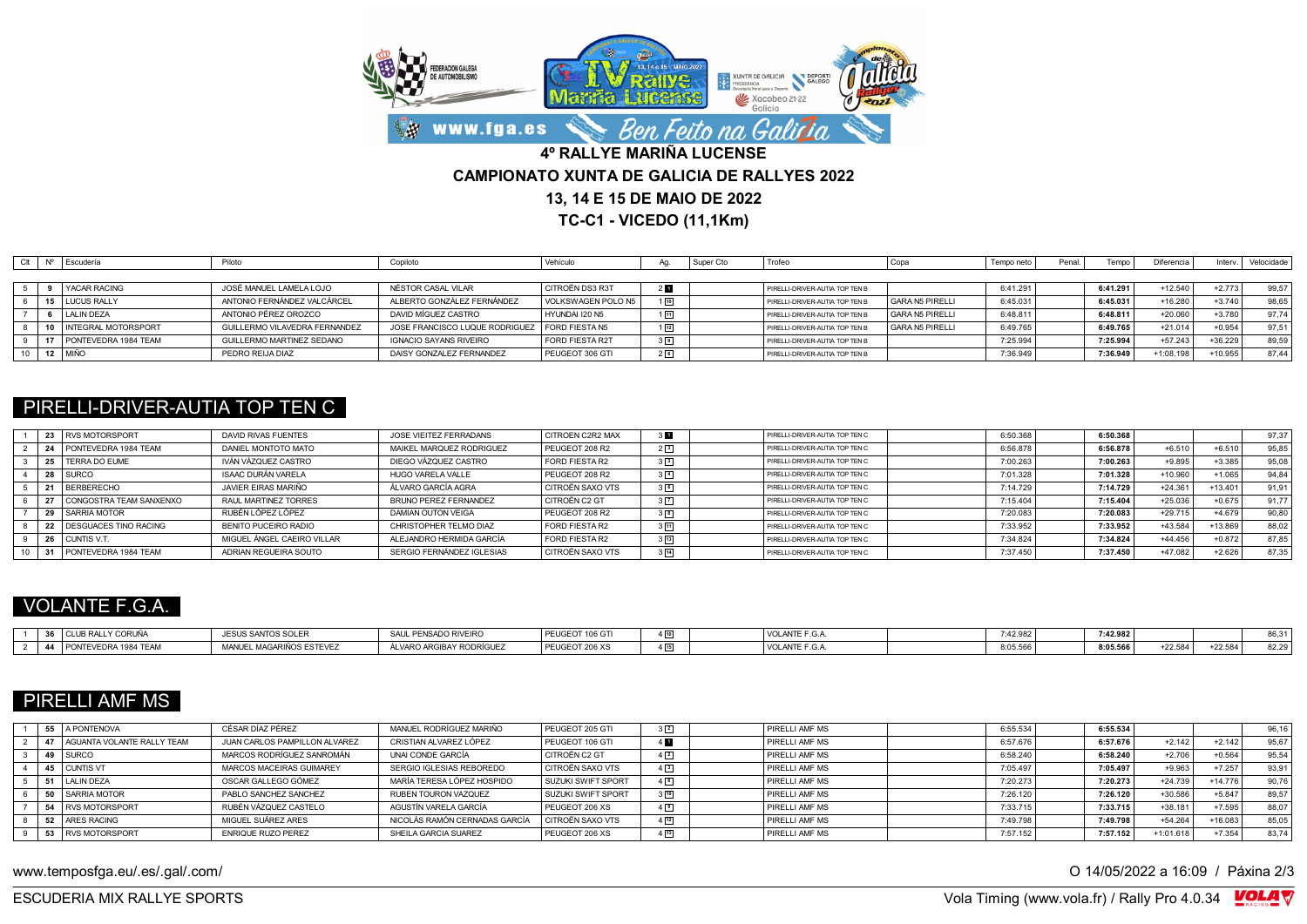

**TC-C1 - VICEDO (11,1Km)**

|  | Escudería             | Piloto                        | Copiloto                       | Vehículo               |                | Super Cto | Trofeo                         |                 | Tempo neto | Penal | Tempo    | Diferencia | Interv.   | Velocidade |
|--|-----------------------|-------------------------------|--------------------------------|------------------------|----------------|-----------|--------------------------------|-----------------|------------|-------|----------|------------|-----------|------------|
|  |                       |                               |                                |                        |                |           |                                |                 |            |       |          |            |           |            |
|  | YACAR RACING          | JOSÉ MANUEL LAMELA LOJO       | NÉSTOR CASAL VILAR             | I CITROËN DS3 R3T      | 2 П            |           | PIRELLI-DRIVER-AUTIA TOP TEN B |                 | 6:41.291   |       | 6:41.291 | $+12.540$  | $+2.773$  | 99,57      |
|  | <b>LUCUS RALLY</b>    | ANTONIO FERNÁNDEZ VALCÁRCEL   | ALBERTO GONZÁLEZ FERNÁNDEZ     | VOLKSWAGEN POLO N5     | 10             |           | PIRELLI-DRIVER-AUTIA TOP TEN B | GARA N5 PIRELLI | 6:45.031   |       | 6:45.031 | $+16.280$  | $+3.740$  | 98,65      |
|  | <b>LALIN DEZA</b>     | ANTONIO PÉREZ OROZCO          | DAVID MÍGUEZ CASTRO            | HYUNDAI 120 N5         | 图              |           | PIRELLI-DRIVER-AUTIA TOP TEN B | GARA N5 PIRELLI | 6:48.811   |       | 6:48.811 | $+20.060$  | $+3.780$  | 97.74      |
|  | I INTEGRAL MOTORSPORT | GUILLERMO VILAVEDRA FERNANDEZ | JOSE FRANCISCO LUQUE RODRIGUEZ | <b>FORD FIESTA N5</b>  | $1\sqrt{12}$   |           | PIRELLI-DRIVER-AUTIA TOP TEN B | GARA N5 PIRELLI | 6:49.765   |       | 6:49.765 | $+21.014$  | $+0.954$  | 97.51      |
|  | PONTEVEDRA 1984 TEAM  | GUILLERMO MARTINEZ SEDANO     | IGNACIO SAYANS RIVEIRO         | <b>FORD FIESTA R2T</b> | 3 <sup>9</sup> |           | PIRELLI-DRIVER-AUTIA TOP TEN B |                 | 7:25.994   |       | 7:25.994 | $+57.243$  | $+36.229$ | 89.59      |
|  | I MIÑC                | PEDRO REIJA DIAZ              | DAISY GONZALEZ FERNANDEZ       | PEUGEOT 306 GTI        |                |           | PIRELLI-DRIVER-AUTIA TOP TEN B |                 | 7:36.949   |       | 7:36.949 | +1:08.198  | +10.955   | 87.44      |

### PIRELLI-DRIVER-AUTIA TOP TEN C

|  | 23 RVS MOTORSPORT        | DAVID RIVAS FUENTES        | JOSE VIEITEZ FERRADANS    | <b>CITROEN C2R2 MAX</b> |                | PIRELLI-DRIVER-AUTIA TOP TEN C  | 6:50.368 | 6:50.368 |           |           | 97,37 |
|--|--------------------------|----------------------------|---------------------------|-------------------------|----------------|---------------------------------|----------|----------|-----------|-----------|-------|
|  | PONTEVEDRA 1984 TEAM     | DANIEL MONTOTO MATO        | MAIKEL MARQUEZ RODRIGUEZ  | PEUGEOT 208 R2          | 2 <sup>3</sup> | PIRELLI-DRIVER-AUTIA TOP TEN C  | 6:56.878 | 6:56.878 | $+6.510$  | $+6.510$  | 95.85 |
|  | 25   TERRA DO EUME       | IVÁN VÁZQUEZ CASTRO        | DIEGO VÁZQUEZ CASTRO      | <b>FORD FIESTA R2</b>   | 3 <sup>3</sup> | PIRELLI-DRIVER-AUTIA TOP TEN C  | 7:00.263 | 7:00.263 | $+9.895$  | $+3.385$  | 95,08 |
|  | 28 SURCO                 | <b>ISAAC DURÁN VARELA</b>  | HUGO VARELA VALLE         | PEUGEOT 208 R2          | $3\sqrt{4}$    | PIRELLI-DRIVER-AUTIA TOP TEN C  | 7:01.328 | 7:01.328 | +10.960   | $+1.065$  | 94.84 |
|  | BERBERECHO               | JAVIER FIRAS MARIÑO        | ÁL VARO GARCÍA AGRA       | CITROËN SAXO VTS        | 36             | PIRELLI-DRIVER-AUTIA TOP TEN C. | 7:14.729 | 7:14.729 | $+24.361$ | $+13.401$ | 91.91 |
|  | CONGOSTRA TEAM SANXENXO  | RAUL MARTINEZ TORRES       | BRUNO PEREZ FERNANDEZ     | CITROËN C2 GT           | 3 7            | PIRELLI-DRIVER-AUTIA TOP TEN C  | 7:15.404 | 7:15.404 | $+25.036$ | $+0.675$  | 91.77 |
|  | 29 SARRIA MOTOR          | RUBÉN LÓPEZ LÓPEZ          | DAMIAN OUTON VEIGA        | PEUGEOT 208 R2          | 3 <sup>8</sup> | PIRELLI-DRIVER-AUTIA TOP TEN C  | 7:20.08  | 7:20.083 | $+29.715$ | $+4.679$  | 90,80 |
|  | 22 DESGUACES TINO RACING | BENITO PUCEIRO RADIO       | CHRISTOPHER TELMO DIAZ    | <b>FORD FIESTA R2</b>   | $3\sqrt{11}$   | PIRELLI-DRIVER-AUTIA TOP TEN C  | 7:33.952 | 7:33.952 | $+43.584$ | $+13.869$ | 88,02 |
|  | CUNTIS V.T               | MIGUEL ÁNGEL CAEIRO VILLAR | ALEJANDRO HERMIDA GARCÍA  | FORD FIESTA R2          | $3\sqrt{13}$   | PIRELLI-DRIVER-AUTIA TOP TEN C  | 7:34.824 | 7:34.824 | $+44.456$ | $+0.872$  | 87.85 |
|  | PONTEVEDRA 1984 TEAM     | ADRIAN REGUEIRA SOUTO      | SERGIO FERNÁNDEZ IGLESIAS | <b>CITROËN SAXO VTS</b> | $3\sqrt{14}$   | PIRELLI-DRIVER-AUTIA TOP TEN C  | 7:37.450 | 7:37.450 | +47.082   | $+2.626$  | 87,35 |

# VOLANTE F.G.A.

| $20$ $\alpha$ $\alpha$ $\beta$<br><b>CLUB RALLY CORUÑA</b> | SANTOS SOLER<br><b>-0110</b><br>-15 | SAUL PENSADO RIVEIRO    | <b>I PEUGEOT 106 GT</b> | VOLANTE F.G.  | 7.42982<br>$\cdot$ . $\cdot$ | 7:42.982 |           |           | $\sim$ $\sim$ $\sim$<br>$-1$ |
|------------------------------------------------------------|-------------------------------------|-------------------------|-------------------------|---------------|------------------------------|----------|-----------|-----------|------------------------------|
| PONTEVEDRA 1984 TEAM<br>$\overline{A}$                     | MAGARIÑOS ESTEVEZ<br><b>MANLIEL</b> | ÁLVARO ARGIBAY RODRÍGUE | PEUGEOT 206 XS          | VOLANTE F.G., | 8:05.566                     | 8:05.566 | $+22.584$ | $-22.584$ | 0.0000                       |

# PIRELLI AMF MS

|  | 55 A PONTENOVA                 | CÉSAR DÍAZ PÉREZ              | MANUEL RODRÍGUEZ MARIÑO       | PEUGEOT 205 GTI           | $3\sqrt{2}$ | PIRELLI AMF MS        | 6:55.534 | 6:55.534 |             |           | 96.16 |
|--|--------------------------------|-------------------------------|-------------------------------|---------------------------|-------------|-----------------------|----------|----------|-------------|-----------|-------|
|  | 47 LAGUANTA VOLANTE RALLY TEAM | JUAN CARLOS PAMPILLON ALVAREZ | CRISTIAN ALVAREZ LÓPEZ        | PEUGEOT 106 GTI           | 4 E         | PIRELLI AMF MS        | 6:57.676 | 6:57.676 | $+2.142$    | $+2.142$  | 95,67 |
|  | 49   SURCO                     | MARCOS RODRÍGUEZ SANROMÁN     | UNAI CONDE GARCÍA             | CITROËN C2 GT             | 4 2         | PIRELLI AMF MS        | 6:58.240 | 6:58.240 | $+2.706$    | $+0.564$  | 95,54 |
|  | 45 CUNTIS VT                   | MARCOS MACEIRAS GUIMAREY      | SERGIO IGLESIAS REBOREDO      | CITROËN SAXO VTS          | $4\sqrt{3}$ | <b>PIRELLI AME MS</b> | 7:05.497 | 7:05.497 | $+9.963$    | $+7.257$  | 93,91 |
|  | 51 LALIN DEZA                  | OSCAR GALLEGO GÓMEZ           | MARÍA TERESA LÓPEZ HOSPIDO    | <b>SUZUKI SWIFT SPORT</b> | 46          | PIRELLI AMF MS        | 7:20.273 | 7:20.273 | $+24.739$   | $+14.776$ | 90,76 |
|  | 50 SARRIA MOTOR                | PABLO SANCHEZ SANCHEZ         | RUBEN TOURON VAZQUEZ          | <b>SUZUKI SWIFT SPORT</b> | 350         | PIRELLI AMF MS        | 7:26.120 | 7:26.120 | $+30.586$   | $+5.847$  | 89.57 |
|  | 54 RVS MOTORSPORT              | RUBÉN VÁZQUEZ CASTELO         | AGUSTÍN VARELA GARCÍA         | PEUGEOT 206 XS            | $4\sqrt{9}$ | PIRELLI AMF MS        | 7:33.715 | 7:33.715 | $+38.181$   | $+7.595$  | 88.07 |
|  | 52 ARES RACING                 | MIGUEL SUÁREZ ARES            | NICOLÁS RAMÓN CERNADAS GARCÍA | CITROËN SAXO VTS          | 4[12]       | PIRELLI AMF MS        | 7:49.798 | 7:49.798 | $+54.264$   | $+16.083$ | 85,05 |
|  | 53 RVS MOTORSPORT              | <b>ENRIQUE RUZO PEREZ</b>     | SHEILA GARCIA SUAREZ          | PEUGEOT 206 XS            |             | PIRELLI AMF MS        | 7:57.152 | 7:57.152 | $+1:01.618$ | $+7.354$  | 83.74 |

www.temposfga.eu/.es/.gal/.com/ **O 14/05/2022** a 16:09 / Páxina 2/3